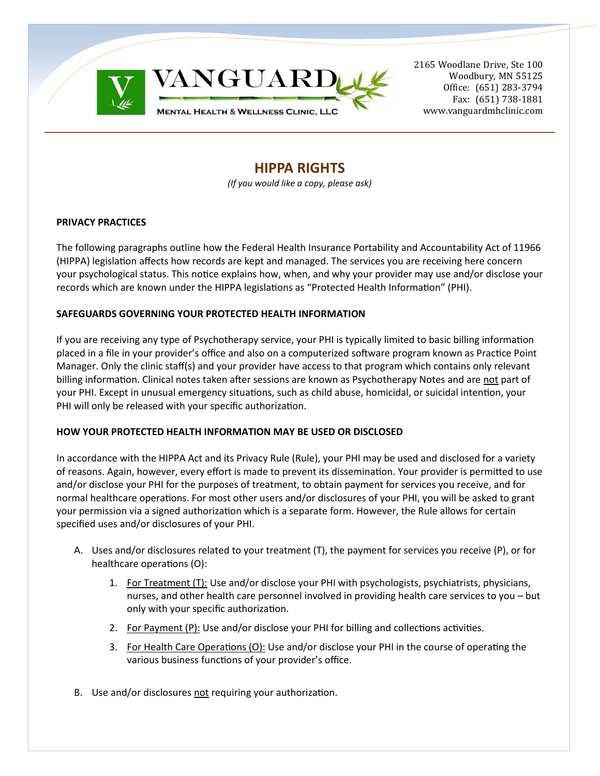



2165 Woodlane Drive, Ste 100 Woodbury, MN 55125 Office: (651) 283-3794 Fax: (651) 738-1881 www.vanguardmhclinic.com

# **HIPPA RIGHTS**

*(If you would like a copy, please ask)*

### **PRIVACY PRACTICES**

The following paragraphs outline how the Federal Health Insurance Portability and Accountability Act of 11966 (HIPPA) legislation affects how records are kept and managed. The services you are receiving here concern your psychological status. This notice explains how, when, and why your provider may use and/or disclose your records which are known under the HIPPA legislations as "Protected Health Information" (PHI).

### **SAFEGUARDS GOVERNING YOUR PROTECTED HEALTH INFORMATION**

If you are receiving any type of Psychotherapy service, your PHI is typically limited to basic billing information placed in a file in your provider's office and also on a computerized software program known as Practice Point Manager. Only the clinic staff(s) and your provider have access to that program which contains only relevant billing information. Clinical notes taken after sessions are known as Psychotherapy Notes and are not part of your PHI. Except in unusual emergency situations, such as child abuse, homicidal, or suicidal intention, your PHI will only be released with your specific authorization.

## **HOW YOUR PROTECTED HEALTH INFORMATION MAY BE USED OR DISCLOSED**

In accordance with the HIPPA Act and its Privacy Rule (Rule), your PHI may be used and disclosed for a variety of reasons. Again, however, every effort is made to prevent its dissemination. Your provider is permitted to use and/or disclose your PHI for the purposes of treatment, to obtain payment for services you receive, and for normal healthcare operations. For most other users and/or disclosures of your PHI, you will be asked to grant your permission via a signed authorization which is a separate form. However, the Rule allows for certain specified uses and/or disclosures of your PHI.

- A. Uses and/or disclosures related to your treatment (T), the payment for services you receive (P), or for healthcare operations (O):
	- 1. For Treatment (T): Use and/or disclose your PHI with psychologists, psychiatrists, physicians, nurses, and other health care personnel involved in providing health care services to you – but only with your specific authorization.
	- 2. For Payment (P): Use and/or disclose your PHI for billing and collections activities.
	- 3. For Health Care Operations (O): Use and/or disclose your PHI in the course of operating the various business functions of your provider's office.
- B. Use and/or disclosures not requiring your authorization.